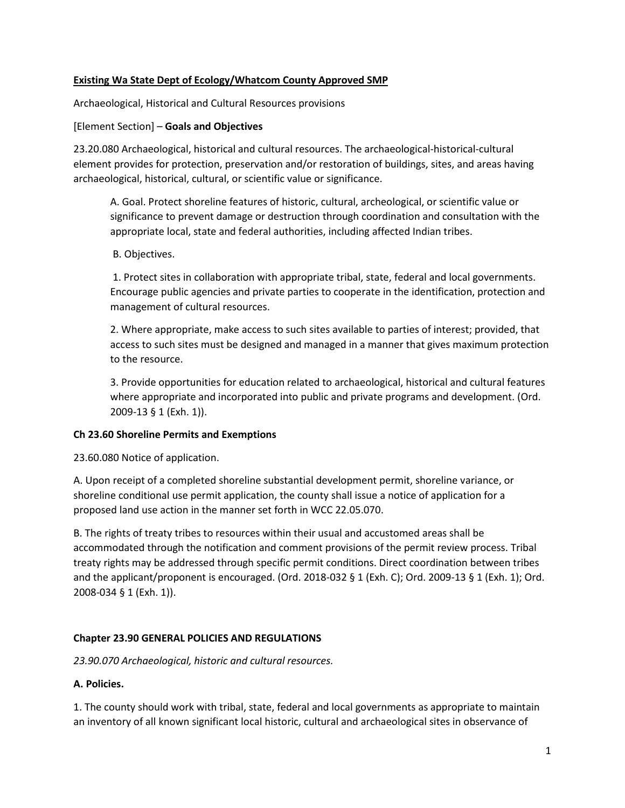### **Existing Wa State Dept of Ecology/Whatcom County Approved SMP**

Archaeological, Historical and Cultural Resources provisions

### [Element Section] – **Goals and Objectives**

23.20.080 Archaeological, historical and cultural resources. The archaeological-historical-cultural element provides for protection, preservation and/or restoration of buildings, sites, and areas having archaeological, historical, cultural, or scientific value or significance.

A. Goal. Protect shoreline features of historic, cultural, archeological, or scientific value or significance to prevent damage or destruction through coordination and consultation with the appropriate local, state and federal authorities, including affected Indian tribes.

### B. Objectives.

1. Protect sites in collaboration with appropriate tribal, state, federal and local governments. Encourage public agencies and private parties to cooperate in the identification, protection and management of cultural resources.

2. Where appropriate, make access to such sites available to parties of interest; provided, that access to such sites must be designed and managed in a manner that gives maximum protection to the resource.

3. Provide opportunities for education related to archaeological, historical and cultural features where appropriate and incorporated into public and private programs and development. (Ord. 2009-13 § 1 (Exh. 1)).

# **Ch 23.60 Shoreline Permits and Exemptions**

23.60.080 Notice of application.

A. Upon receipt of a completed shoreline substantial development permit, shoreline variance, or shoreline conditional use permit application, the county shall issue a notice of application for a proposed land use action in the manner set forth in WCC 22.05.070.

B. The rights of treaty tribes to resources within their usual and accustomed areas shall be accommodated through the notification and comment provisions of the permit review process. Tribal treaty rights may be addressed through specific permit conditions. Direct coordination between tribes and the applicant/proponent is encouraged. (Ord. 2018-032 § 1 (Exh. C); Ord. 2009-13 § 1 (Exh. 1); Ord. 2008-034 § 1 (Exh. 1)).

# **Chapter 23.90 GENERAL POLICIES AND REGULATIONS**

*23.90.070 Archaeological, historic and cultural resources.* 

# **A. Policies.**

1. The county should work with tribal, state, federal and local governments as appropriate to maintain an inventory of all known significant local historic, cultural and archaeological sites in observance of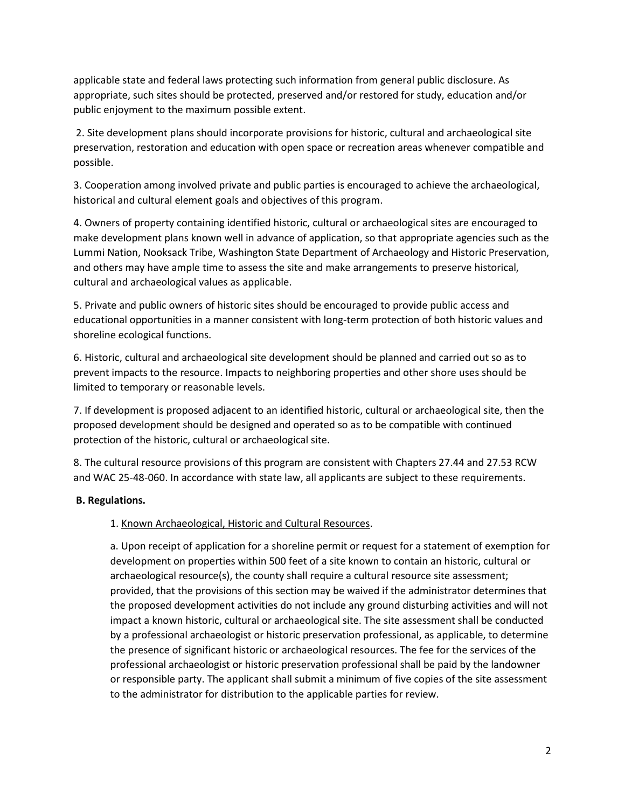applicable state and federal laws protecting such information from general public disclosure. As appropriate, such sites should be protected, preserved and/or restored for study, education and/or public enjoyment to the maximum possible extent.

2. Site development plans should incorporate provisions for historic, cultural and archaeological site preservation, restoration and education with open space or recreation areas whenever compatible and possible.

3. Cooperation among involved private and public parties is encouraged to achieve the archaeological, historical and cultural element goals and objectives of this program.

4. Owners of property containing identified historic, cultural or archaeological sites are encouraged to make development plans known well in advance of application, so that appropriate agencies such as the Lummi Nation, Nooksack Tribe, Washington State Department of Archaeology and Historic Preservation, and others may have ample time to assess the site and make arrangements to preserve historical, cultural and archaeological values as applicable.

5. Private and public owners of historic sites should be encouraged to provide public access and educational opportunities in a manner consistent with long-term protection of both historic values and shoreline ecological functions.

6. Historic, cultural and archaeological site development should be planned and carried out so as to prevent impacts to the resource. Impacts to neighboring properties and other shore uses should be limited to temporary or reasonable levels.

7. If development is proposed adjacent to an identified historic, cultural or archaeological site, then the proposed development should be designed and operated so as to be compatible with continued protection of the historic, cultural or archaeological site.

8. The cultural resource provisions of this program are consistent with Chapters 27.44 and 27.53 RCW and WAC 25-48-060. In accordance with state law, all applicants are subject to these requirements.

# **B. Regulations.**

# 1. Known Archaeological, Historic and Cultural Resources.

a. Upon receipt of application for a shoreline permit or request for a statement of exemption for development on properties within 500 feet of a site known to contain an historic, cultural or archaeological resource(s), the county shall require a cultural resource site assessment; provided, that the provisions of this section may be waived if the administrator determines that the proposed development activities do not include any ground disturbing activities and will not impact a known historic, cultural or archaeological site. The site assessment shall be conducted by a professional archaeologist or historic preservation professional, as applicable, to determine the presence of significant historic or archaeological resources. The fee for the services of the professional archaeologist or historic preservation professional shall be paid by the landowner or responsible party. The applicant shall submit a minimum of five copies of the site assessment to the administrator for distribution to the applicable parties for review.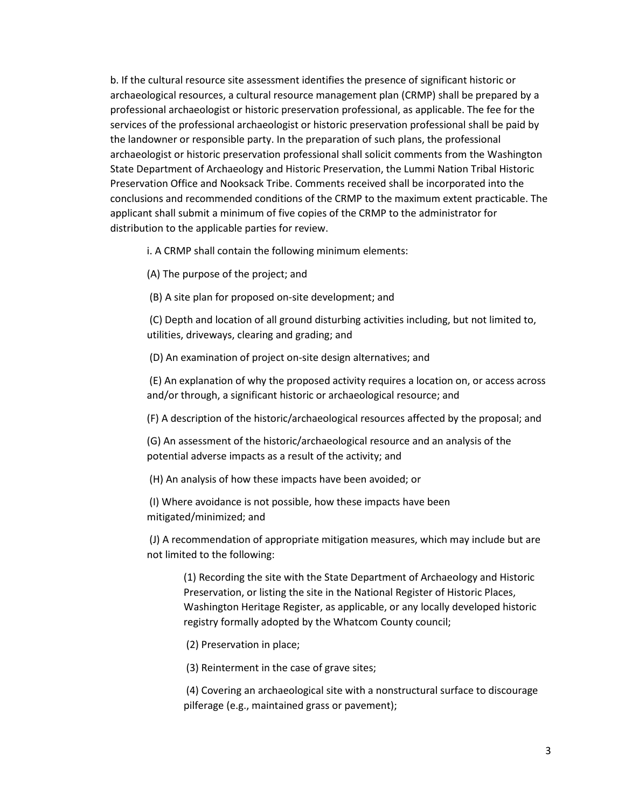b. If the cultural resource site assessment identifies the presence of significant historic or archaeological resources, a cultural resource management plan (CRMP) shall be prepared by a professional archaeologist or historic preservation professional, as applicable. The fee for the services of the professional archaeologist or historic preservation professional shall be paid by the landowner or responsible party. In the preparation of such plans, the professional archaeologist or historic preservation professional shall solicit comments from the Washington State Department of Archaeology and Historic Preservation, the Lummi Nation Tribal Historic Preservation Office and Nooksack Tribe. Comments received shall be incorporated into the conclusions and recommended conditions of the CRMP to the maximum extent practicable. The applicant shall submit a minimum of five copies of the CRMP to the administrator for distribution to the applicable parties for review.

i. A CRMP shall contain the following minimum elements:

(A) The purpose of the project; and

(B) A site plan for proposed on-site development; and

(C) Depth and location of all ground disturbing activities including, but not limited to, utilities, driveways, clearing and grading; and

(D) An examination of project on-site design alternatives; and

(E) An explanation of why the proposed activity requires a location on, or access across and/or through, a significant historic or archaeological resource; and

(F) A description of the historic/archaeological resources affected by the proposal; and

(G) An assessment of the historic/archaeological resource and an analysis of the potential adverse impacts as a result of the activity; and

(H) An analysis of how these impacts have been avoided; or

(I) Where avoidance is not possible, how these impacts have been mitigated/minimized; and

(J) A recommendation of appropriate mitigation measures, which may include but are not limited to the following:

(1) Recording the site with the State Department of Archaeology and Historic Preservation, or listing the site in the National Register of Historic Places, Washington Heritage Register, as applicable, or any locally developed historic registry formally adopted by the Whatcom County council;

(2) Preservation in place;

(3) Reinterment in the case of grave sites;

(4) Covering an archaeological site with a nonstructural surface to discourage pilferage (e.g., maintained grass or pavement);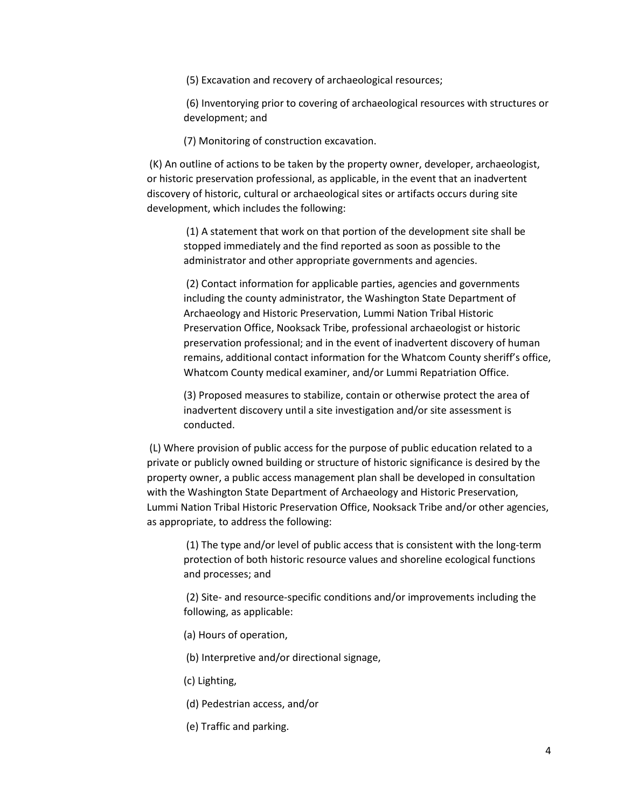(5) Excavation and recovery of archaeological resources;

(6) Inventorying prior to covering of archaeological resources with structures or development; and

(7) Monitoring of construction excavation.

(K) An outline of actions to be taken by the property owner, developer, archaeologist, or historic preservation professional, as applicable, in the event that an inadvertent discovery of historic, cultural or archaeological sites or artifacts occurs during site development, which includes the following:

(1) A statement that work on that portion of the development site shall be stopped immediately and the find reported as soon as possible to the administrator and other appropriate governments and agencies.

(2) Contact information for applicable parties, agencies and governments including the county administrator, the Washington State Department of Archaeology and Historic Preservation, Lummi Nation Tribal Historic Preservation Office, Nooksack Tribe, professional archaeologist or historic preservation professional; and in the event of inadvertent discovery of human remains, additional contact information for the Whatcom County sheriff's office, Whatcom County medical examiner, and/or Lummi Repatriation Office.

(3) Proposed measures to stabilize, contain or otherwise protect the area of inadvertent discovery until a site investigation and/or site assessment is conducted.

(L) Where provision of public access for the purpose of public education related to a private or publicly owned building or structure of historic significance is desired by the property owner, a public access management plan shall be developed in consultation with the Washington State Department of Archaeology and Historic Preservation, Lummi Nation Tribal Historic Preservation Office, Nooksack Tribe and/or other agencies, as appropriate, to address the following:

(1) The type and/or level of public access that is consistent with the long-term protection of both historic resource values and shoreline ecological functions and processes; and

(2) Site- and resource-specific conditions and/or improvements including the following, as applicable:

- (a) Hours of operation,
- (b) Interpretive and/or directional signage,
- (c) Lighting,
- (d) Pedestrian access, and/or
- (e) Traffic and parking.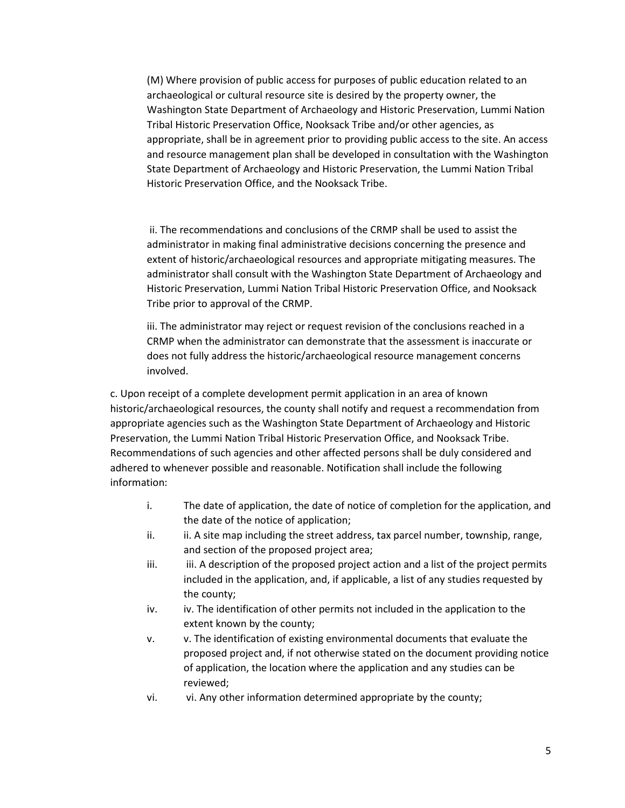(M) Where provision of public access for purposes of public education related to an archaeological or cultural resource site is desired by the property owner, the Washington State Department of Archaeology and Historic Preservation, Lummi Nation Tribal Historic Preservation Office, Nooksack Tribe and/or other agencies, as appropriate, shall be in agreement prior to providing public access to the site. An access and resource management plan shall be developed in consultation with the Washington State Department of Archaeology and Historic Preservation, the Lummi Nation Tribal Historic Preservation Office, and the Nooksack Tribe.

ii. The recommendations and conclusions of the CRMP shall be used to assist the administrator in making final administrative decisions concerning the presence and extent of historic/archaeological resources and appropriate mitigating measures. The administrator shall consult with the Washington State Department of Archaeology and Historic Preservation, Lummi Nation Tribal Historic Preservation Office, and Nooksack Tribe prior to approval of the CRMP.

iii. The administrator may reject or request revision of the conclusions reached in a CRMP when the administrator can demonstrate that the assessment is inaccurate or does not fully address the historic/archaeological resource management concerns involved.

c. Upon receipt of a complete development permit application in an area of known historic/archaeological resources, the county shall notify and request a recommendation from appropriate agencies such as the Washington State Department of Archaeology and Historic Preservation, the Lummi Nation Tribal Historic Preservation Office, and Nooksack Tribe. Recommendations of such agencies and other affected persons shall be duly considered and adhered to whenever possible and reasonable. Notification shall include the following information:

- i. The date of application, the date of notice of completion for the application, and the date of the notice of application;
- ii. ii. A site map including the street address, tax parcel number, township, range, and section of the proposed project area;
- iii. iii. A description of the proposed project action and a list of the project permits included in the application, and, if applicable, a list of any studies requested by the county;
- iv. iv. The identification of other permits not included in the application to the extent known by the county;
- v. v. The identification of existing environmental documents that evaluate the proposed project and, if not otherwise stated on the document providing notice of application, the location where the application and any studies can be reviewed;
- vi. vi. Any other information determined appropriate by the county;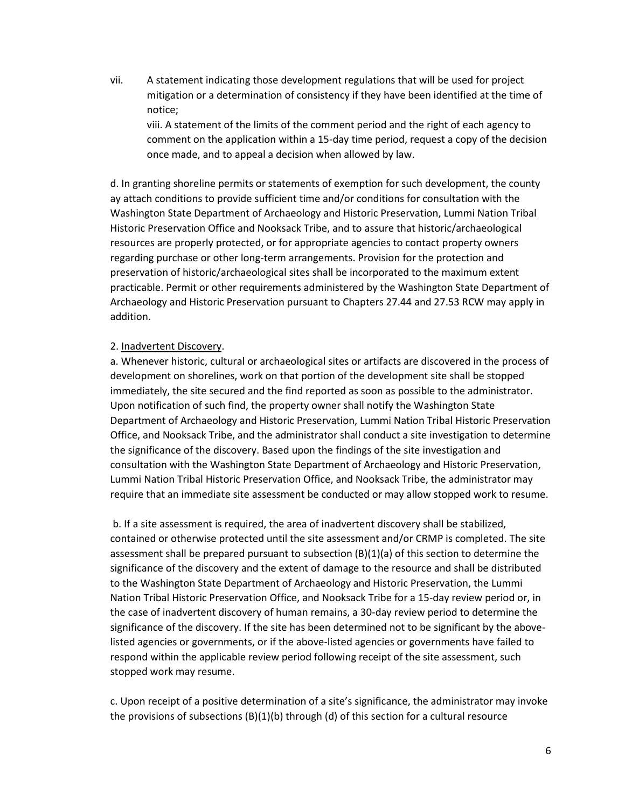vii. A statement indicating those development regulations that will be used for project mitigation or a determination of consistency if they have been identified at the time of notice;

viii. A statement of the limits of the comment period and the right of each agency to comment on the application within a 15-day time period, request a copy of the decision once made, and to appeal a decision when allowed by law.

d. In granting shoreline permits or statements of exemption for such development, the county ay attach conditions to provide sufficient time and/or conditions for consultation with the Washington State Department of Archaeology and Historic Preservation, Lummi Nation Tribal Historic Preservation Office and Nooksack Tribe, and to assure that historic/archaeological resources are properly protected, or for appropriate agencies to contact property owners regarding purchase or other long-term arrangements. Provision for the protection and preservation of historic/archaeological sites shall be incorporated to the maximum extent practicable. Permit or other requirements administered by the Washington State Department of Archaeology and Historic Preservation pursuant to Chapters 27.44 and 27.53 RCW may apply in addition.

### 2. Inadvertent Discovery.

a. Whenever historic, cultural or archaeological sites or artifacts are discovered in the process of development on shorelines, work on that portion of the development site shall be stopped immediately, the site secured and the find reported as soon as possible to the administrator. Upon notification of such find, the property owner shall notify the Washington State Department of Archaeology and Historic Preservation, Lummi Nation Tribal Historic Preservation Office, and Nooksack Tribe, and the administrator shall conduct a site investigation to determine the significance of the discovery. Based upon the findings of the site investigation and consultation with the Washington State Department of Archaeology and Historic Preservation, Lummi Nation Tribal Historic Preservation Office, and Nooksack Tribe, the administrator may require that an immediate site assessment be conducted or may allow stopped work to resume.

b. If a site assessment is required, the area of inadvertent discovery shall be stabilized, contained or otherwise protected until the site assessment and/or CRMP is completed. The site assessment shall be prepared pursuant to subsection (B)(1)(a) of this section to determine the significance of the discovery and the extent of damage to the resource and shall be distributed to the Washington State Department of Archaeology and Historic Preservation, the Lummi Nation Tribal Historic Preservation Office, and Nooksack Tribe for a 15-day review period or, in the case of inadvertent discovery of human remains, a 30-day review period to determine the significance of the discovery. If the site has been determined not to be significant by the abovelisted agencies or governments, or if the above-listed agencies or governments have failed to respond within the applicable review period following receipt of the site assessment, such stopped work may resume.

c. Upon receipt of a positive determination of a site's significance, the administrator may invoke the provisions of subsections  $(B)(1)(b)$  through (d) of this section for a cultural resource